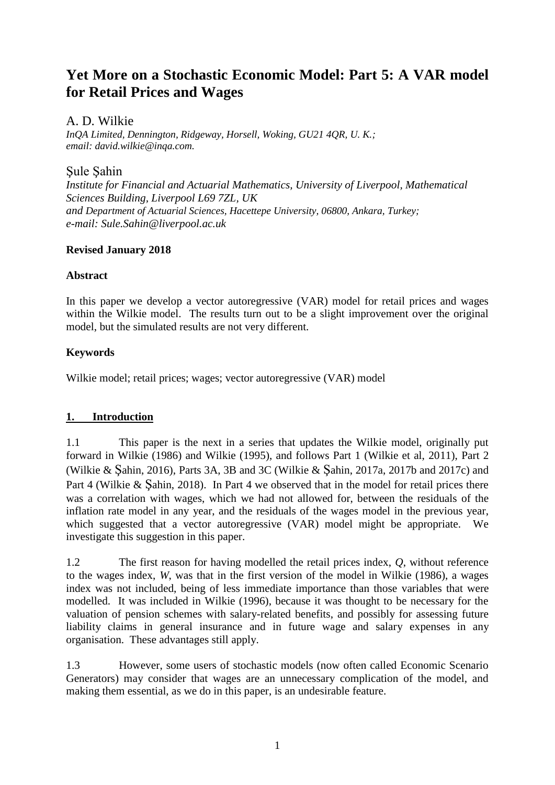# **Yet More on a Stochastic Economic Model: Part 5: A VAR model for Retail Prices and Wages**

# A. D. Wilkie

*InQA Limited, Dennington, Ridgeway, Horsell, Woking, GU21 4QR, U. K.; email: david.wilkie@inqa.com.*

# Şule Şahin

*Institute for Financial and Actuarial Mathematics, University of Liverpool, Mathematical Sciences Building, Liverpool L69 7ZL, UK and Department of Actuarial Sciences, Hacettepe University, 06800, Ankara, Turkey; e-mail: Sule.Sahin@liverpool.ac.uk*

#### **Revised January 2018**

# **Abstract**

In this paper we develop a vector autoregressive (VAR) model for retail prices and wages within the Wilkie model. The results turn out to be a slight improvement over the original model, but the simulated results are not very different.

# **Keywords**

Wilkie model; retail prices; wages; vector autoregressive (VAR) model

# **1. Introduction**

1.1 This paper is the next in a series that updates the Wilkie model, originally put forward in Wilkie (1986) and Wilkie (1995), and follows Part 1 (Wilkie et al, 2011), Part 2 (Wilkie & Şahin, 2016), Parts 3A, 3B and 3C (Wilkie & Şahin, 2017a, 2017b and 2017c) and Part 4 (Wilkie & Sahin, 2018). In Part 4 we observed that in the model for retail prices there was a correlation with wages, which we had not allowed for, between the residuals of the inflation rate model in any year, and the residuals of the wages model in the previous year, which suggested that a vector autoregressive (VAR) model might be appropriate. We investigate this suggestion in this paper.

1.2 The first reason for having modelled the retail prices index, *Q*, without reference to the wages index, *W*, was that in the first version of the model in Wilkie (1986), a wages index was not included, being of less immediate importance than those variables that were modelled. It was included in Wilkie (1996), because it was thought to be necessary for the valuation of pension schemes with salary-related benefits, and possibly for assessing future liability claims in general insurance and in future wage and salary expenses in any organisation. These advantages still apply.

1.3 However, some users of stochastic models (now often called Economic Scenario Generators) may consider that wages are an unnecessary complication of the model, and making them essential, as we do in this paper, is an undesirable feature.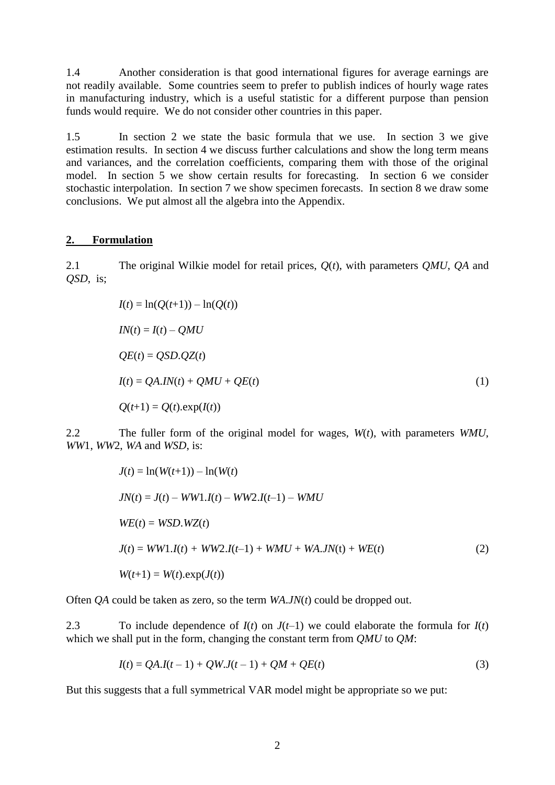1.4 Another consideration is that good international figures for average earnings are not readily available. Some countries seem to prefer to publish indices of hourly wage rates in manufacturing industry, which is a useful statistic for a different purpose than pension funds would require. We do not consider other countries in this paper.

1.5 In section 2 we state the basic formula that we use. In section 3 we give estimation results. In section 4 we discuss further calculations and show the long term means and variances, and the correlation coefficients, comparing them with those of the original model. In section 5 we show certain results for forecasting. In section 6 we consider stochastic interpolation. In section 7 we show specimen forecasts. In section 8 we draw some conclusions. We put almost all the algebra into the Appendix.

#### **2. Formulation**

2.1 The original Wilkie model for retail prices, *Q*(*t*), with parameters *QMU*, *QA* and *QSD*, is;

$$
I(t) = \ln(Q(t+1)) - \ln(Q(t))
$$
  
\n
$$
IN(t) = I(t) - QMU
$$
  
\n
$$
QE(t) = QSD.QZ(t)
$$
  
\n
$$
I(t) = QA.IN(t) + QMU + QE(t)
$$
  
\n
$$
Q(t+1) = Q(t).exp(I(t))
$$
\n(1)

2.2 The fuller form of the original model for wages, *W*(*t*), with parameters *WMU*, *WW*1, *WW*2, *WA* and *WSD*, is:

$$
J(t) = \ln(W(t+1)) - \ln(W(t)
$$
  
\n
$$
JN(t) = J(t) - WW1.I(t) - WW2.I(t-1) - WMU
$$
  
\n
$$
WE(t) = WSD.WZ(t)
$$
  
\n
$$
J(t) = WW1.I(t) + WW2.I(t-1) + WMU + WA.JN(t) + WE(t)
$$
\n
$$
W(t+1) = W(t).exp(J(t))
$$
\n(2)

Often *QA* could be taken as zero, so the term *WA*.*JN*(*t*) could be dropped out.

2.3 To include dependence of  $I(t)$  on  $J(t-1)$  we could elaborate the formula for  $I(t)$ which we shall put in the form, changing the constant term from *QMU* to *QM*:

$$
I(t) = QA.I(t-1) + QW.I(t-1) + QM + QE(t)
$$
\n(3)

But this suggests that a full symmetrical VAR model might be appropriate so we put: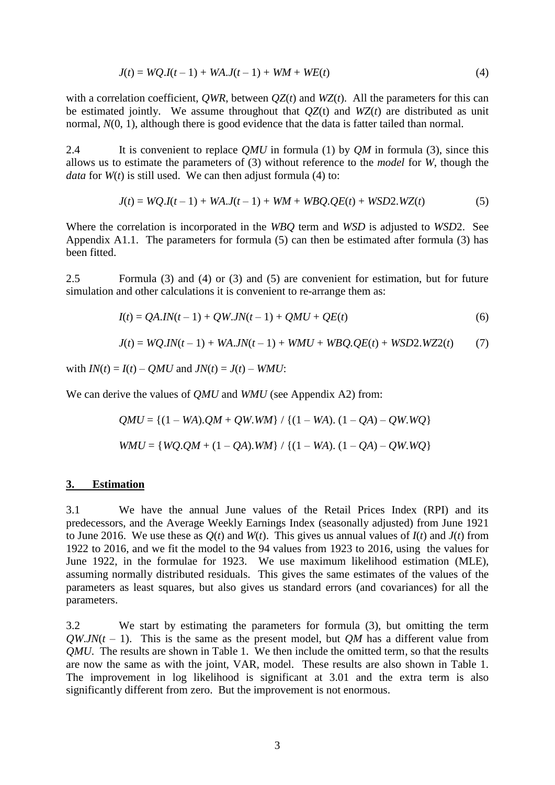$$
J(t) = WQ.I(t-1) + WA.J(t-1) + WM + WE(t)
$$
\n(4)

with a correlation coefficient, *QWR*, between  $OZ(t)$  and  $WZ(t)$ . All the parameters for this can be estimated jointly. We assume throughout that *QZ*(t) and *WZ*(*t*) are distributed as unit normal,  $N(0, 1)$ , although there is good evidence that the data is fatter tailed than normal.

2.4 It is convenient to replace *QMU* in formula (1) by *QM* in formula (3), since this allows us to estimate the parameters of (3) without reference to the *model* for *W*, though the *data* for  $W(t)$  is still used. We can then adjust formula (4) to:

$$
J(t) = WQ.I(t-1) + WA.J(t-1) + WM + WBQ.QE(t) + WSD2.WZ(t)
$$
\n(5)

Where the correlation is incorporated in the *WBQ* term and *WSD* is adjusted to *WSD*2. See Appendix A1.1. The parameters for formula (5) can then be estimated after formula (3) has been fitted.

2.5 Formula (3) and (4) or (3) and (5) are convenient for estimation, but for future simulation and other calculations it is convenient to re-arrange them as:

$$
I(t) = QA.IN(t-1) + QW.JN(t-1) + QMU + QE(t)
$$
\n(6)

$$
J(t) = WQ.IN(t-1) + WA.JN(t-1) + WMU + WBQ.QE(t) + WSD2.WZ2(t)
$$
 (7)

with  $IN(t) = I(t) - QMU$  and  $JN(t) = J(t) - WMU$ :

We can derive the values of *QMU* and *WMU* (see Appendix A2) from:

$$
QMU = \{(1 - WA).QM + QW.WM\} / \{(1 - WA). (1 - QA) - QW.WQ\}
$$
  
WMU = \{WQ.QM + (1 - QA).WM\} / \{(1 - WA). (1 - QA) - QW.WQ\}

#### **3. Estimation**

3.1 We have the annual June values of the Retail Prices Index (RPI) and its predecessors, and the Average Weekly Earnings Index (seasonally adjusted) from June 1921 to June 2016. We use these as  $O(t)$  and  $W(t)$ . This gives us annual values of  $I(t)$  and  $J(t)$  from 1922 to 2016, and we fit the model to the 94 values from 1923 to 2016, using the values for June 1922, in the formulae for 1923. We use maximum likelihood estimation (MLE), assuming normally distributed residuals. This gives the same estimates of the values of the parameters as least squares, but also gives us standard errors (and covariances) for all the parameters.

3.2 We start by estimating the parameters for formula (3), but omitting the term  $QW$ *.JN*( $t$  – 1). This is the same as the present model, but *OM* has a different value from *QMU*. The results are shown in Table 1. We then include the omitted term, so that the results are now the same as with the joint, VAR, model. These results are also shown in Table 1. The improvement in log likelihood is significant at 3.01 and the extra term is also significantly different from zero. But the improvement is not enormous.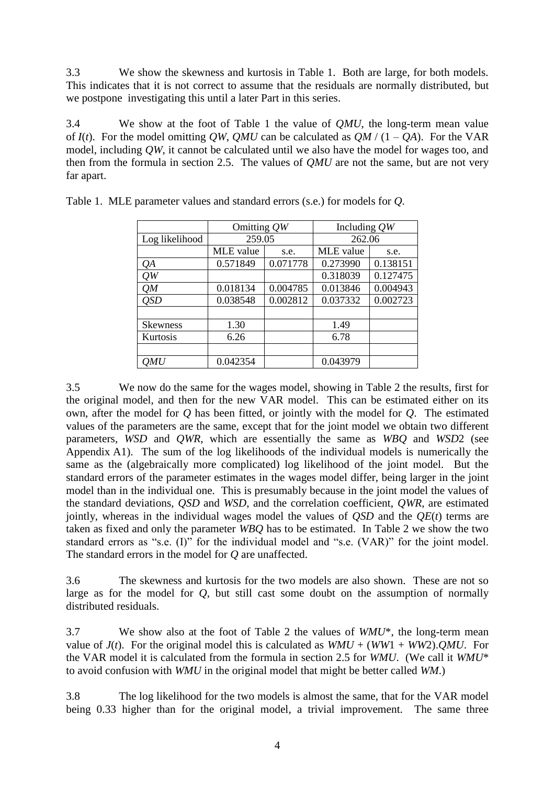3.3 We show the skewness and kurtosis in Table 1. Both are large, for both models. This indicates that it is not correct to assume that the residuals are normally distributed, but we postpone investigating this until a later Part in this series.

3.4 We show at the foot of Table 1 the value of *QMU*, the long-term mean value of  $I(t)$ . For the model omitting *QW*, *QMU* can be calculated as *QM* / (1 – *QA*). For the VAR model, including *QW*, it cannot be calculated until we also have the model for wages too, and then from the formula in section 2.5. The values of *QMU* are not the same, but are not very far apart.

|                 | Omitting $QW$ |          | Including $QW$ |          |  |
|-----------------|---------------|----------|----------------|----------|--|
| Log likelihood  | 259.05        |          | 262.06         |          |  |
|                 | MLE value     | s.e.     | MLE value      | s.e.     |  |
| QА              | 0.571849      | 0.071778 | 0.273990       | 0.138151 |  |
| OW              |               |          | 0.318039       | 0.127475 |  |
| OM              | 0.018134      | 0.004785 | 0.013846       | 0.004943 |  |
| <b>OSD</b>      | 0.038548      | 0.002812 | 0.037332       | 0.002723 |  |
|                 |               |          |                |          |  |
| <b>Skewness</b> | 1.30          |          | 1.49           |          |  |
| Kurtosis        | 6.26          |          | 6.78           |          |  |
|                 |               |          |                |          |  |
| ЭMU             | 0.042354      |          | 0.043979       |          |  |

Table 1. MLE parameter values and standard errors (s.e.) for models for *Q*.

3.5 We now do the same for the wages model, showing in Table 2 the results, first for the original model, and then for the new VAR model. This can be estimated either on its own, after the model for *Q* has been fitted, or jointly with the model for *Q*. The estimated values of the parameters are the same, except that for the joint model we obtain two different parameters, *WSD* and *QWR*, which are essentially the same as *WBQ* and *WSD*2 (see Appendix A1). The sum of the log likelihoods of the individual models is numerically the same as the (algebraically more complicated) log likelihood of the joint model. But the standard errors of the parameter estimates in the wages model differ, being larger in the joint model than in the individual one. This is presumably because in the joint model the values of the standard deviations, *QSD* and *WSD*, and the correlation coefficient, *QWR*, are estimated jointly, whereas in the individual wages model the values of *QSD* and the *QE*(*t*) terms are taken as fixed and only the parameter *WBQ* has to be estimated. In Table 2 we show the two standard errors as "s.e. (I)" for the individual model and "s.e. (VAR)" for the joint model. The standard errors in the model for *Q* are unaffected.

3.6 The skewness and kurtosis for the two models are also shown. These are not so large as for the model for *Q*, but still cast some doubt on the assumption of normally distributed residuals.

3.7 We show also at the foot of Table 2 the values of *WMU*\*, the long-term mean value of  $J(t)$ . For the original model this is calculated as  $WMU + (WW1 + WW2)$ . *QMU*. For the VAR model it is calculated from the formula in section 2.5 for *WMU*. (We call it *WMU*\* to avoid confusion with *WMU* in the original model that might be better called *WM*.)

3.8 The log likelihood for the two models is almost the same, that for the VAR model being 0.33 higher than for the original model, a trivial improvement. The same three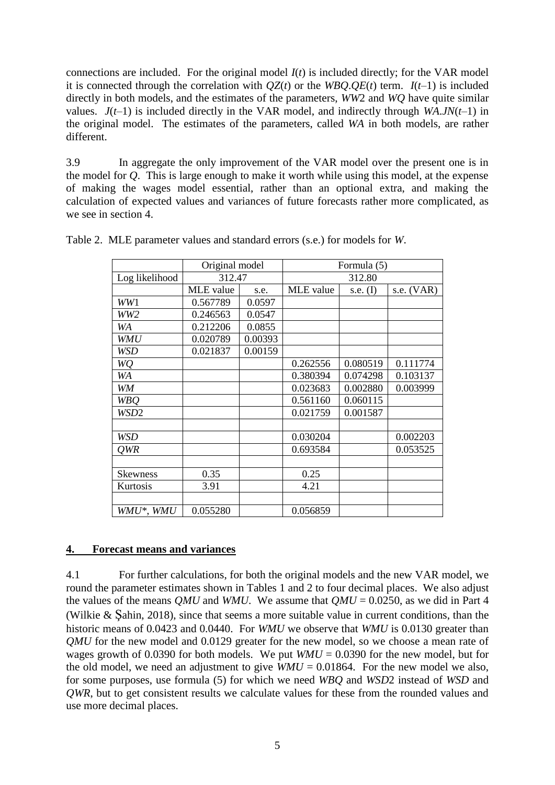connections are included. For the original model *I*(*t*) is included directly; for the VAR model it is connected through the correlation with  $OZ(t)$  or the *WBQ.0E(t)* term.  $I(t-1)$  is included directly in both models, and the estimates of the parameters, *WW*2 and *WQ* have quite similar values.  $J(t-1)$  is included directly in the VAR model, and indirectly through *WA.JN*( $t-1$ ) in the original model. The estimates of the parameters, called *WA* in both models, are rather different.

3.9 In aggregate the only improvement of the VAR model over the present one is in the model for *Q*. This is large enough to make it worth while using this model, at the expense of making the wages model essential, rather than an optional extra, and making the calculation of expected values and variances of future forecasts rather more complicated, as we see in section 4.

|                  | Original model |         | Formula (5) |            |              |  |
|------------------|----------------|---------|-------------|------------|--------------|--|
| Log likelihood   | 312.47         |         | 312.80      |            |              |  |
|                  | MLE value      | s.e.    | MLE value   | s.e. $(I)$ | s.e. $(VAR)$ |  |
| WW1              | 0.567789       | 0.0597  |             |            |              |  |
| WW2              | 0.246563       | 0.0547  |             |            |              |  |
| WA               | 0.212206       | 0.0855  |             |            |              |  |
| <b>WMU</b>       | 0.020789       | 0.00393 |             |            |              |  |
| WSD              | 0.021837       | 0.00159 |             |            |              |  |
| WQ               |                |         | 0.262556    | 0.080519   | 0.111774     |  |
| WA               |                |         | 0.380394    | 0.074298   | 0.103137     |  |
| WM               |                |         | 0.023683    | 0.002880   | 0.003999     |  |
| <b>WBQ</b>       |                |         | 0.561160    | 0.060115   |              |  |
| WSD <sub>2</sub> |                |         | 0.021759    | 0.001587   |              |  |
|                  |                |         |             |            |              |  |
| WSD              |                |         | 0.030204    |            | 0.002203     |  |
| QWR              |                |         | 0.693584    |            | 0.053525     |  |
|                  |                |         |             |            |              |  |
| <b>Skewness</b>  | 0.35           |         | 0.25        |            |              |  |
| Kurtosis         | 3.91           |         | 4.21        |            |              |  |
|                  |                |         |             |            |              |  |
| WMU*, WMU        | 0.055280       |         | 0.056859    |            |              |  |

Table 2. MLE parameter values and standard errors (s.e.) for models for *W*.

# **4. Forecast means and variances**

4.1 For further calculations, for both the original models and the new VAR model, we round the parameter estimates shown in Tables 1 and 2 to four decimal places. We also adjust the values of the means *QMU* and *WMU*. We assume that  $QMU = 0.0250$ , as we did in Part 4 (Wilkie & Şahin, 2018), since that seems a more suitable value in current conditions, than the historic means of 0.0423 and 0.0440. For *WMU* we observe that *WMU* is 0.0130 greater than *QMU* for the new model and 0.0129 greater for the new model, so we choose a mean rate of wages growth of 0.0390 for both models. We put  $WMU = 0.0390$  for the new model, but for the old model, we need an adjustment to give  $WMU = 0.01864$ . For the new model we also, for some purposes, use formula (5) for which we need *WBQ* and *WSD*2 instead of *WSD* and *QWR*, but to get consistent results we calculate values for these from the rounded values and use more decimal places.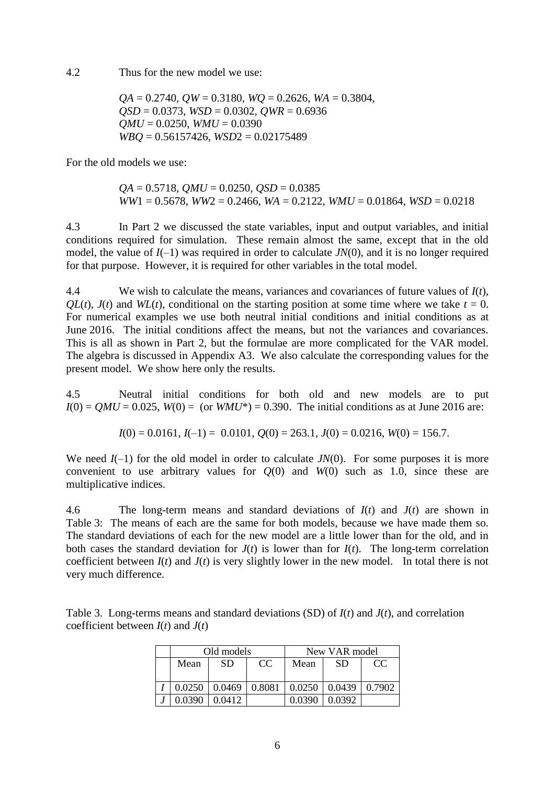4.2 Thus for the new model we use:

 $OA = 0.2740$ ,  $OW = 0.3180$ ,  $WO = 0.2626$ ,  $WA = 0.3804$ , *QSD* = 0.0373, *WSD* = 0.0302, *QWR* = 0.6936  $OMU = 0.0250$ ,  $WMU = 0.0390$ *WBQ* = 0.56157426, *WSD*2 = 0.02175489

For the old models we use:

*QA* = 0.5718, *QMU* = 0.0250, *QSD* = 0.0385  $WW1 = 0.5678$ ,  $WW2 = 0.2466$ ,  $WA = 0.2122$ ,  $WMU = 0.01864$ ,  $WSD = 0.0218$ 

4.3 In Part 2 we discussed the state variables, input and output variables, and initial conditions required for simulation. These remain almost the same, except that in the old model, the value of *I*(–1) was required in order to calculate *JN*(0), and it is no longer required for that purpose. However, it is required for other variables in the total model.

4.4 We wish to calculate the means, variances and covariances of future values of *I*(*t*),  $QL(t)$ ,  $J(t)$  and  $WL(t)$ , conditional on the starting position at some time where we take  $t = 0$ . For numerical examples we use both neutral initial conditions and initial conditions as at June 2016. The initial conditions affect the means, but not the variances and covariances. This is all as shown in Part 2, but the formulae are more complicated for the VAR model. The algebra is discussed in Appendix A3. We also calculate the corresponding values for the present model. We show here only the results.

4.5 Neutral initial conditions for both old and new models are to put  $I(0) = QMU = 0.025$ ,  $W(0) = (or WMU^*) = 0.390$ . The initial conditions as at June 2016 are:

$$
I(0) = 0.0161
$$
,  $I(-1) = 0.0101$ ,  $Q(0) = 263.1$ ,  $J(0) = 0.0216$ ,  $W(0) = 156.7$ .

We need  $I(-1)$  for the old model in order to calculate  $JN(0)$ . For some purposes it is more convenient to use arbitrary values for  $Q(0)$  and  $W(0)$  such as 1.0, since these are multiplicative indices.

4.6 The long-term means and standard deviations of *I*(*t*) and *J*(*t*) are shown in Table 3: The means of each are the same for both models, because we have made them so. The standard deviations of each for the new model are a little lower than for the old, and in both cases the standard deviation for  $J(t)$  is lower than for  $I(t)$ . The long-term correlation coefficient between  $I(t)$  and  $J(t)$  is very slightly lower in the new model. In total there is not very much difference.

Table 3. Long-terms means and standard deviations (SD) of *I*(*t*) and *J*(*t*), and correlation coefficient between  $I(t)$  and  $J(t)$ 

| Old models |        |               | New VAR model |        |        |  |
|------------|--------|---------------|---------------|--------|--------|--|
| Mean       | SD     | <sub>CC</sub> | Mean          | -SD    | CC     |  |
|            |        |               |               |        |        |  |
| 0.0250     | 0.0469 | 0.8081        | 0.0250        | 0.0439 | 0.7902 |  |
| Ი ᲘᲕ9Ი     | 0.0412 |               | Ი ᲘᲕᲔᲘ        | 0.0392 |        |  |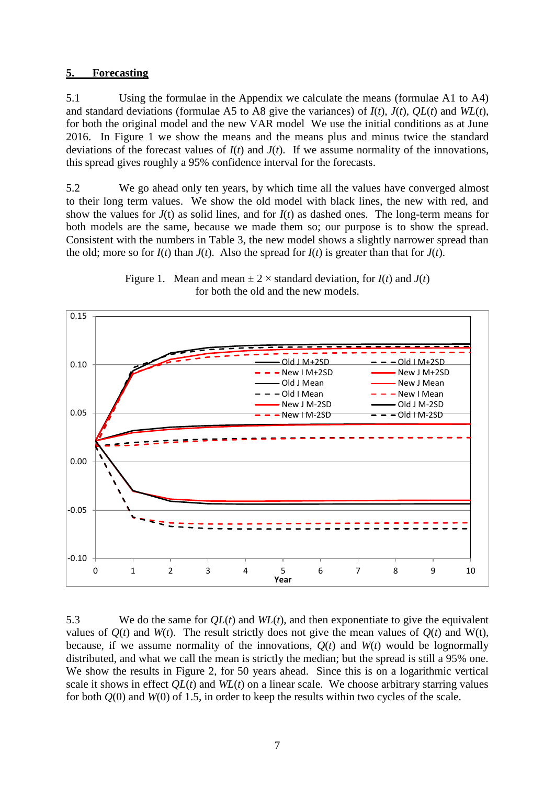#### **5. Forecasting**

5.1 Using the formulae in the Appendix we calculate the means (formulae A1 to A4) and standard deviations (formulae A5 to A8 give the variances) of *I*(*t*), *J*(*t*), *QL*(*t*) and *WL*(*t*), for both the original model and the new VAR model We use the initial conditions as at June 2016. In Figure 1 we show the means and the means plus and minus twice the standard deviations of the forecast values of  $I(t)$  and  $J(t)$ . If we assume normality of the innovations, this spread gives roughly a 95% confidence interval for the forecasts.

5.2 We go ahead only ten years, by which time all the values have converged almost to their long term values. We show the old model with black lines, the new with red, and show the values for  $J(t)$  as solid lines, and for  $I(t)$  as dashed ones. The long-term means for both models are the same, because we made them so; our purpose is to show the spread. Consistent with the numbers in Table 3, the new model shows a slightly narrower spread than the old; more so for  $I(t)$  than  $J(t)$ . Also the spread for  $I(t)$  is greater than that for  $J(t)$ .



Figure 1. Mean and mean  $\pm 2 \times$  standard deviation, for  $I(t)$  and  $J(t)$ for both the old and the new models.

5.3 We do the same for *QL*(*t*) and *WL*(*t*), and then exponentiate to give the equivalent values of  $Q(t)$  and  $W(t)$ . The result strictly does not give the mean values of  $Q(t)$  and  $W(t)$ , because, if we assume normality of the innovations,  $Q(t)$  and  $W(t)$  would be lognormally distributed, and what we call the mean is strictly the median; but the spread is still a 95% one. We show the results in Figure 2, for 50 years ahead. Since this is on a logarithmic vertical scale it shows in effect *QL*(*t*) and *WL*(*t*) on a linear scale. We choose arbitrary starring values for both *Q*(0) and *W*(0) of 1.5, in order to keep the results within two cycles of the scale.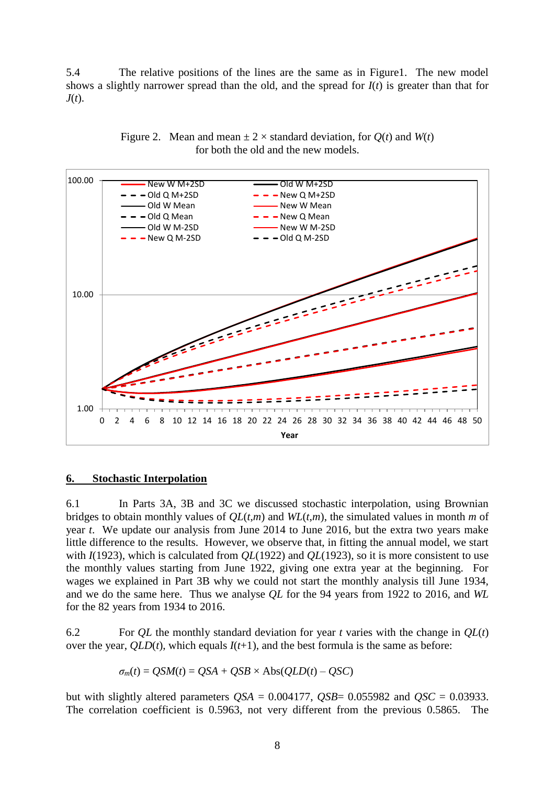5.4 The relative positions of the lines are the same as in Figure1. The new model shows a slightly narrower spread than the old, and the spread for  $I(t)$  is greater than that for *J*(*t*).





#### **6. Stochastic Interpolation**

6.1 In Parts 3A, 3B and 3C we discussed stochastic interpolation, using Brownian bridges to obtain monthly values of *QL*(*t*,*m*) and *WL*(*t*,*m*), the simulated values in month *m* of year *t*. We update our analysis from June 2014 to June 2016, but the extra two years make little difference to the results. However, we observe that, in fitting the annual model, we start with *I*(1923), which is calculated from *QL*(1922) and *QL*(1923), so it is more consistent to use the monthly values starting from June 1922, giving one extra year at the beginning. For wages we explained in Part 3B why we could not start the monthly analysis till June 1934, and we do the same here. Thus we analyse *QL* for the 94 years from 1922 to 2016, and *WL* for the 82 years from 1934 to 2016.

6.2 For *QL* the monthly standard deviation for year *t* varies with the change in *QL*(*t*) over the year,  $QLD(t)$ , which equals  $I(t+1)$ , and the best formula is the same as before:

 $\sigma_m(t) = \text{OSM}(t) = \text{OSA} + \text{OSB} \times \text{Abs}(\text{OLD}(t) - \text{OSC})$ 

but with slightly altered parameters  $OSA = 0.004177$ ,  $OSB = 0.055982$  and  $OSC = 0.03933$ . The correlation coefficient is 0.5963, not very different from the previous 0.5865. The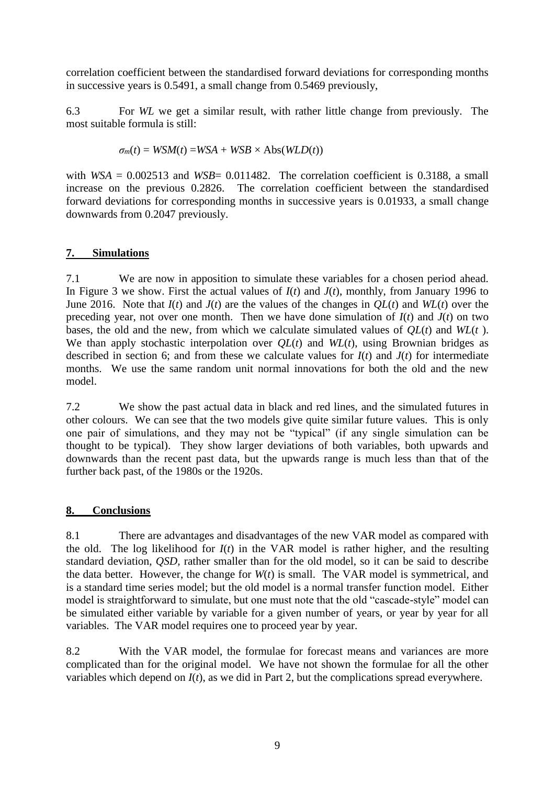correlation coefficient between the standardised forward deviations for corresponding months in successive years is 0.5491, a small change from 0.5469 previously,

6.3 For *WL* we get a similar result, with rather little change from previously. The most suitable formula is still:

$$
\sigma_m(t) = WSM(t) = WSA + WSB \times Abs(WLD(t))
$$

with  $WSA = 0.002513$  and  $WSB = 0.011482$ . The correlation coefficient is 0.3188, a small increase on the previous 0.2826. The correlation coefficient between the standardised forward deviations for corresponding months in successive years is 0.01933, a small change downwards from 0.2047 previously.

# **7. Simulations**

7.1 We are now in apposition to simulate these variables for a chosen period ahead. In Figure 3 we show. First the actual values of *I*(*t*) and *J*(*t*), monthly, from January 1996 to June 2016. Note that  $I(t)$  and  $J(t)$  are the values of the changes in  $QL(t)$  and  $WL(t)$  over the preceding year, not over one month. Then we have done simulation of *I*(*t*) and *J*(*t*) on two bases, the old and the new, from which we calculate simulated values of *QL*(*t*) and *WL*(*t* ). We than apply stochastic interpolation over *QL*(*t*) and *WL*(*t*), using Brownian bridges as described in section 6; and from these we calculate values for  $I(t)$  and  $J(t)$  for intermediate months. We use the same random unit normal innovations for both the old and the new model.

7.2 We show the past actual data in black and red lines, and the simulated futures in other colours. We can see that the two models give quite similar future values. This is only one pair of simulations, and they may not be "typical" (if any single simulation can be thought to be typical). They show larger deviations of both variables, both upwards and downwards than the recent past data, but the upwards range is much less than that of the further back past, of the 1980s or the 1920s.

# **8. Conclusions**

8.1 There are advantages and disadvantages of the new VAR model as compared with the old. The log likelihood for  $I(t)$  in the VAR model is rather higher, and the resulting standard deviation, *QSD,* rather smaller than for the old model, so it can be said to describe the data better. However, the change for *W*(*t*) is small. The VAR model is symmetrical, and is a standard time series model; but the old model is a normal transfer function model. Either model is straightforward to simulate, but one must note that the old "cascade-style" model can be simulated either variable by variable for a given number of years, or year by year for all variables. The VAR model requires one to proceed year by year.

8.2 With the VAR model, the formulae for forecast means and variances are more complicated than for the original model. We have not shown the formulae for all the other variables which depend on *I*(*t*), as we did in Part 2, but the complications spread everywhere.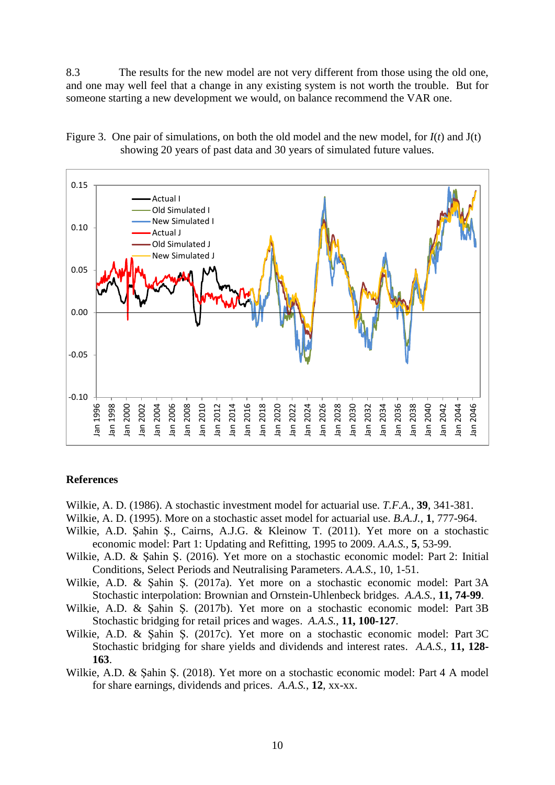8.3 The results for the new model are not very different from those using the old one, and one may well feel that a change in any existing system is not worth the trouble. But for someone starting a new development we would, on balance recommend the VAR one.



Figure 3. One pair of simulations, on both the old model and the new model, for *I*(*t*) and J(t) showing 20 years of past data and 30 years of simulated future values.

#### **References**

- Wilkie, A. D. (1986). A stochastic investment model for actuarial use. *T.F.A.*, **39**, 341-381.
- Wilkie, A. D. (1995). More on a stochastic asset model for actuarial use. *B.A.J.*, **1**, 777-964.
- Wilkie, A.D. Şahin Ş., Cairns, A.J.G. & Kleinow T. (2011). Yet more on a stochastic economic model: Part 1: Updating and Refitting, 1995 to 2009. *A.A.S.*, **5**, 53-99.
- Wilkie, A.D. & Şahin Ş. (2016). Yet more on a stochastic economic model: Part 2: Initial Conditions, Select Periods and Neutralising Parameters. *A.A.S.*, 10, 1-51.
- Wilkie, A.D. & Şahin Ş. (2017a). Yet more on a stochastic economic model: Part 3A Stochastic interpolation: Brownian and Ornstein-Uhlenbeck bridges. *A.A.S.*, **11, 74-99**.
- Wilkie, A.D. & Şahin Ş. (2017b). Yet more on a stochastic economic model: Part 3B Stochastic bridging for retail prices and wages. *A.A.S.*, **11, 100-127**.
- Wilkie, A.D. & Şahin Ş. (2017c). Yet more on a stochastic economic model: Part 3C Stochastic bridging for share yields and dividends and interest rates. *A.A.S.*, **11, 128- 163**.
- Wilkie, A.D. & Şahin Ş. (2018). Yet more on a stochastic economic model: Part 4 A model for share earnings, dividends and prices. *A.A.S.*, **12**, xx-xx.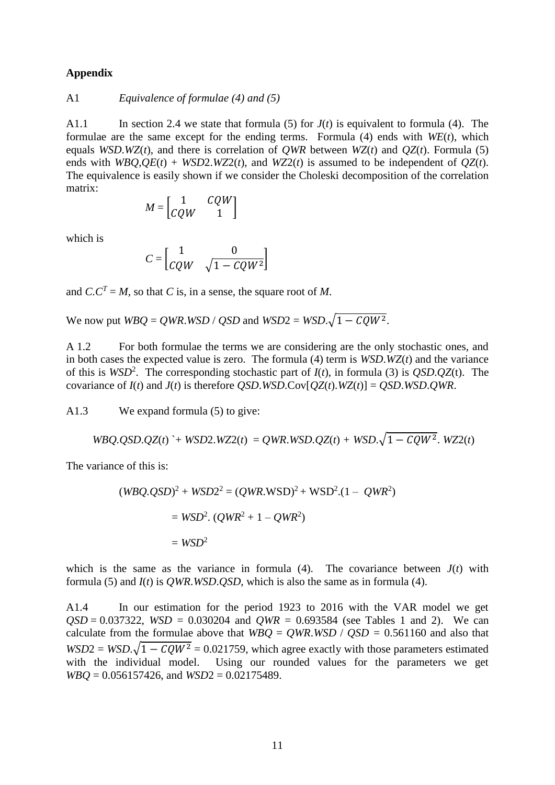#### **Appendix**

A1 *Equivalence of formulae* 
$$
(4)
$$
 *and*  $(5)$ 

A1.1 In section 2.4 we state that formula (5) for  $J(t)$  is equivalent to formula (4). The formulae are the same except for the ending terms. Formula (4) ends with *WE*(*t*), which equals *WSD*.*WZ*(*t*), and there is correlation of *QWR* between *WZ*(*t*) and *QZ*(*t*). Formula (5) ends with *WBO*, $OE(t)$  + *WSD2*.*WZ2(t)*, and *WZ2(t)* is assumed to be independent of  $OZ(t)$ . The equivalence is easily shown if we consider the Choleski decomposition of the correlation matrix:

$$
M = \begin{bmatrix} 1 & CQW \\ CQW & 1 \end{bmatrix}
$$

which is

$$
C = \begin{bmatrix} 1 & 0 \\ CQW & \sqrt{1 - CQW^2} \end{bmatrix}
$$

and  $C \cdot C^T = M$ , so that *C* is, in a sense, the square root of *M*.

We now put  $WBO = QWR$ .*WSD* / *QSD* and  $WSD2 = WSD \sqrt{1 - CQW^2}$ .

A 1.2 For both formulae the terms we are considering are the only stochastic ones, and in both cases the expected value is zero. The formula (4) term is *WSD*.*WZ*(*t*) and the variance of this is  $WSD^2$ . The corresponding stochastic part of  $I(t)$ , in formula (3) is  $QSD.QZ(t)$ . The covariance of  $I(t)$  and  $J(t)$  is therefore *QSD*.*WSD*.Cov[ $OZ(t)$ .*WZ*( $t$ )] = *QSD*.*WSD.QWR*.

A1.3 We expand formula (5) to give:

$$
WBQ.QSD.QZ(t) + WSD2.WZ2(t) = QWR.WSD.QZ(t) + WSD.\sqrt{1 - CQW^2.WZ2(t)}
$$

The variance of this is:

$$
(WBQ.QSD)^{2} + WSD2^{2} = (QWR.WSD)^{2} + WSD^{2}.(1 - QWR^{2})
$$
  
= WSD<sup>2</sup>. (QWR<sup>2</sup> + 1 - QWR<sup>2</sup>)  
= WSD<sup>2</sup>

which is the same as the variance in formula (4). The covariance between  $J(t)$  with formula (5) and *I*(*t*) is *QWR*.*WSD*.*QSD*, which is also the same as in formula (4).

A1.4 In our estimation for the period 1923 to 2016 with the VAR model we get  $OSD = 0.037322$ ,  $WSD = 0.030204$  and  $QWR = 0.693584$  (see Tables 1 and 2). We can calculate from the formulae above that  $WBO = QWR$ .*WSD* /  $QSD = 0.561160$  and also that  $WSD2 = WSD.\sqrt{1 - CQW^2} = 0.021759$ , which agree exactly with those parameters estimated with the individual model. Using our rounded values for the parameters we get *WBQ* = 0.056157426, and *WSD*2 = 0.02175489.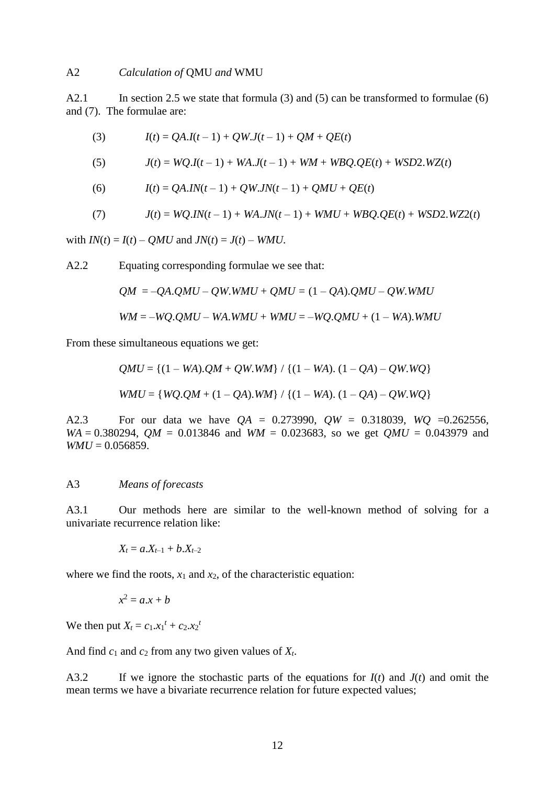#### A2 *Calculation of* QMU *and* WMU

A2.1 In section 2.5 we state that formula (3) and (5) can be transformed to formulae (6) and (7). The formulae are:

(3) 
$$
I(t) = QA.I(t-1) + QW.J(t-1) + QM + QE(t)
$$

(5) 
$$
J(t) = WQ.I(t-1) + WA.J(t-1) + WM + WBQ.QE(t) + WSD2.WZ(t)
$$

(6) 
$$
I(t) = QA.IN(t-1) + QW.JN(t-1) + QMU + QE(t)
$$

(7) 
$$
J(t) = WQ. IN(t-1) + WA. JN(t-1) + WMU + WBQ. QE(t) + WSD2. WZ2(t)
$$

with  $IN(t) = I(t) - OMU$  and  $JN(t) = J(t) - WMU$ .

A2.2 Equating corresponding formulae we see that:

$$
QM = -QA.QMU - QW.WMU + QMU = (1 - QA).QMU - QW.WMU
$$

$$
WM = -WQ.QMU - WA.WMU + WMU = -WQ.QMU + (1 - WA).WMU
$$

From these simultaneous equations we get:

$$
QMU = \{(1 - WA).QM + QW.WM\} / \{(1 - WA). (1 - QA) - QW.WQ\}
$$
  
WMU = \{WQ.QM + (1 - QA).WM\} / \{(1 - WA). (1 - QA) - QW.WQ\}

A2.3 For our data we have *QA* = 0.273990, *QW* = 0.318039, *WQ* =0.262556, *WA* = 0.380294, *QM* = 0.013846 and *WM* = 0.023683, so we get *QMU* = 0.043979 and  $WMU = 0.056859$ .

#### A3 *Means of forecasts*

A3.1 Our methods here are similar to the well-known method of solving for a univariate recurrence relation like:

$$
X_t = a.X_{t-1} + b.X_{t-2}
$$

where we find the roots,  $x_1$  and  $x_2$ , of the characteristic equation:

$$
x^2 = a \cdot x + b
$$

We then put  $X_t = c_1.x_1^t + c_2.x_2^t$ 

And find  $c_1$  and  $c_2$  from any two given values of  $X_t$ .

A3.2 If we ignore the stochastic parts of the equations for  $I(t)$  and  $J(t)$  and omit the mean terms we have a bivariate recurrence relation for future expected values;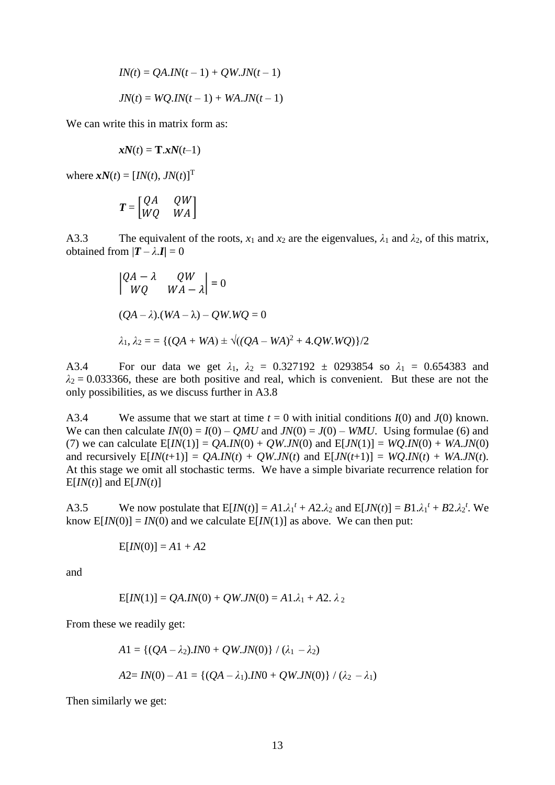$$
IN(t) = QA.IN(t-1) + QW.JN(t-1)
$$
  

$$
JN(t) = WQ.IN(t-1) + WA.JN(t-1)
$$

We can write this in matrix form as:

$$
xN(t) = T.xN(t-1)
$$

where  $xN(t) = [IN(t), JN(t)]^T$ 

$$
T = \begin{bmatrix} QA & QW \\ WQ & WA \end{bmatrix}
$$

A3.3 The equivalent of the roots,  $x_1$  and  $x_2$  are the eigenvalues,  $\lambda_1$  and  $\lambda_2$ , of this matrix, obtained from  $|\mathbf{T} - \lambda \mathbf{I}| = 0$ 

$$
\begin{vmatrix} QA - \lambda & QW \\ WQ & WA - \lambda \end{vmatrix} = 0
$$
  
(QA - \lambda).(WA - \lambda) - QW.WQ = 0  

$$
\lambda_1, \lambda_2 = \{ (QA + WA) \pm \sqrt{((QA - WA)^2 + 4.QW.WQ)} \} / 2
$$

A3.4 For our data we get  $\lambda_1$ ,  $\lambda_2 = 0.327192 \pm 0.0293854$  so  $\lambda_1 = 0.654383$  and  $\lambda_2$  = 0.033366, these are both positive and real, which is convenient. But these are not the only possibilities, as we discuss further in A3.8

A3.4 We assume that we start at time  $t = 0$  with initial conditions  $I(0)$  and  $J(0)$  known. We can then calculate  $IN(0) = I(0) - QMU$  and  $JN(0) = J(0) - WMU$ . Using formulae (6) and (7) we can calculate  $E[IN(1)] = OA$ .*IN*(0) + *OW.JN*(0) and  $E[ JN(1)] = WO$ .*IN*(0) + *WA.JN*(0) and recursively  $E[IN(t+1)] = OA.N(t) + OW.JN(t)$  and  $E[ JN(t+1)] = WO.IN(t) + WA.JN(t)$ . At this stage we omit all stochastic terms. We have a simple bivariate recurrence relation for  $E[*IN*(*t*)]$  and  $E[*IN*(*t*)]$ 

A3.5 We now postulate that  $E[IN(t)] = A1 \lambda_1^t + A2 \lambda_2$  and  $E[JN(t)] = B1 \lambda_1^t + B2 \lambda_2^t$ . We know  $E[*IN*(0)] = *IN*(0)$  and we calculate  $E[*IN*(1)]$  as above. We can then put:

$$
E[IN(0)] = A1 + A2
$$

and

$$
E[IN(1)] = QA.IN(0) + QW.JN(0) = A1.\lambda_1 + A2.\lambda_2
$$

From these we readily get:

$$
A1 = \{ (QA - \lambda_2).IN0 + QW.JN(0) \} / (\lambda_1 - \lambda_2)
$$
  

$$
A2 = IN(0) - A1 = \{ (QA - \lambda_1).IN0 + QW.JN(0) \} / (\lambda_2 - \lambda_1)
$$

Then similarly we get: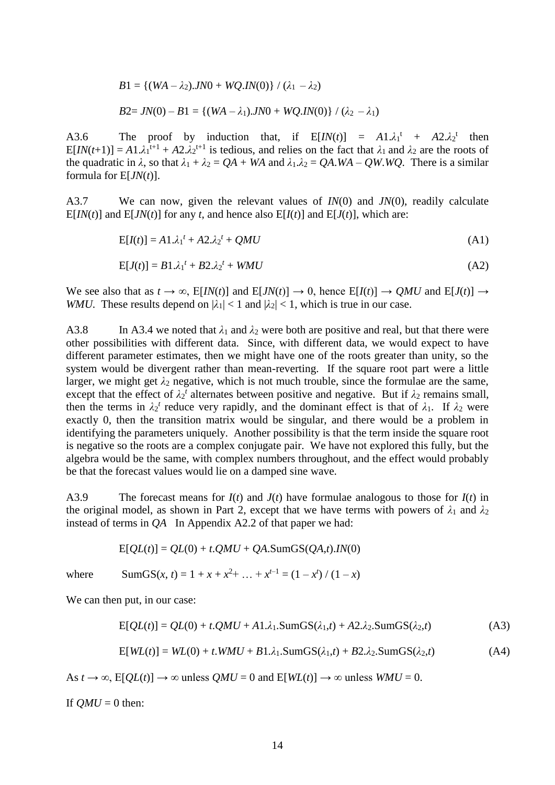$$
B1 = \{(WA - \lambda_2).JN0 + WQ.IN(0)\} / (\lambda_1 - \lambda_2)
$$
  

$$
B2 = JN(0) - B1 = \{(WA - \lambda_1).JN0 + WQ.IN(0)\} / (\lambda_2 - \lambda_1)
$$

A3.6 The proof by induction that, if  $E[IN(t)] = A1 \lambda_1^t + A2 \lambda_2^t$  then  $E[N(t+1)] = A1 \lambda_1^{t+1} + A2 \lambda_2^{t+1}$  is tedious, and relies on the fact that  $\lambda_1$  and  $\lambda_2$  are the roots of the quadratic in  $\lambda$ , so that  $\lambda_1 + \lambda_2 = QA + WA$  and  $\lambda_1 \lambda_2 = QA$ .*WA* – *QW.WQ*. There is a similar formula for E[*JN*(*t*)].

A3.7 We can now, given the relevant values of *IN*(0) and *JN*(0), readily calculate  $E[*IN*(*t*)]$  and  $E[*IN*(*t*)]$  for any *t*, and hence also  $E[I(t)]$  and  $E[J(t)]$ , which are:

$$
E[I(t)] = A1.\lambda_1^t + A2.\lambda_2^t + QMU \tag{A1}
$$

$$
E[J(t)] = B1.\lambda_1^t + B2.\lambda_2^t + WMU \tag{A2}
$$

We see also that as  $t \to \infty$ , E[*IN*(*t*)] and E[*JN*(*t*)]  $\to 0$ , hence E[*I*(*t*)]  $\to QMU$  and E[*J*(*t*)]  $\to$ *WMU*. These results depend on  $|\lambda_1| < 1$  and  $|\lambda_2| < 1$ , which is true in our case.

A3.8 In A3.4 we noted that  $\lambda_1$  and  $\lambda_2$  were both are positive and real, but that there were other possibilities with different data. Since, with different data, we would expect to have different parameter estimates, then we might have one of the roots greater than unity, so the system would be divergent rather than mean-reverting. If the square root part were a little larger, we might get  $\lambda_2$  negative, which is not much trouble, since the formulae are the same, except that the effect of  $\lambda_2^t$  alternates between positive and negative. But if  $\lambda_2$  remains small, then the terms in  $\lambda_2^t$  reduce very rapidly, and the dominant effect is that of  $\lambda_1$ . If  $\lambda_2$  were exactly 0, then the transition matrix would be singular, and there would be a problem in identifying the parameters uniquely. Another possibility is that the term inside the square root is negative so the roots are a complex conjugate pair. We have not explored this fully, but the algebra would be the same, with complex numbers throughout, and the effect would probably be that the forecast values would lie on a damped sine wave.

A3.9 The forecast means for *I*(*t*) and *J*(*t*) have formulae analogous to those for *I*(*t*) in the original model, as shown in Part 2, except that we have terms with powers of  $\lambda_1$  and  $\lambda_2$ instead of terms in *QA* In Appendix A2.2 of that paper we had:

 $E[OL(t)] = OL(0) + t \cdot OMU + OA \cdot SumGS(OA,t) \cdot IN(0)$ 

where  $\text{SumGS}(x, t) = 1 + x + x^2 + \dots + x^{t-1} = (1 - x^t) / (1 - x)$ 

We can then put, in our case:

$$
E[QL(t)] = QL(0) + t.QMU + A1.\lambda_1.SumGS(\lambda_1,t) + A2.\lambda_2.SumGS(\lambda_2,t)
$$
\n(A3)

$$
E[WL(t)] = WL(0) + t. WMU + B1.\lambda_1.SumGS(\lambda_1,t) + B2.\lambda_2.SumGS(\lambda_2,t)
$$
\n(A4)

As  $t \to \infty$ ,  $E[QL(t)] \to \infty$  unless  $QMU = 0$  and  $E[WL(t)] \to \infty$  unless  $WMU = 0$ .

If  $OMU = 0$  then: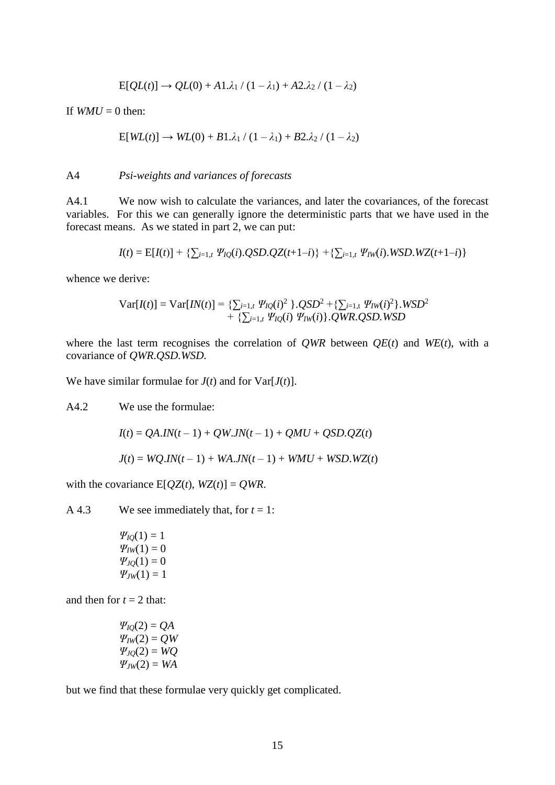$$
E[QL(t)] \to QL(0) + A1.\lambda_1 / (1 - \lambda_1) + A2.\lambda_2 / (1 - \lambda_2)
$$

If  $WMI = 0$  then:

$$
E[WL(t)] \rightarrow WL(0) + B1.\lambda_1 / (1 - \lambda_1) + B2.\lambda_2 / (1 - \lambda_2)
$$

#### A4 *Psi-weights and variances of forecasts*

A4.1 We now wish to calculate the variances, and later the covariances, of the forecast variables. For this we can generally ignore the deterministic parts that we have used in the forecast means. As we stated in part 2, we can put:

$$
I(t) = E[I(t)] + \left\{ \sum_{i=1,t} \Psi_{IQ}(i).QSD.QZ(t+1-i) \right\} + \left\{ \sum_{i=1,t} \Psi_{IW}(i).WSD.WZ(t+1-i) \right\}
$$

whence we derive:

$$
Var[I(t)] = Var[IN(t)] = \{ \sum_{i=1,t} \Psi_{IQ}(i)^2 \} QSD^2 + \{ \sum_{i=1,t} \Psi_{IW}(i)^2 \} WSD^2 + \{ \sum_{i=1,t} \Psi_{IQ}(i) \Psi_{IW}(i) \} QWRQSDWSD
$$

where the last term recognises the correlation of *QWR* between  $QE(t)$  and *WE*(*t*), with a covariance of *QWR*.*QSD.WSD.*

We have similar formulae for  $J(t)$  and for  $Var[J(t)]$ .

A4.2 We use the formulae:

$$
I(t) = QA.IN(t-1) + QW.JN(t-1) + QMU + QSD.QZ(t)
$$

$$
J(t) = WQ.IN(t-1) + WA.JN(t-1) + WMU + WSD.WZ(t)
$$

with the covariance  $E[QZ(t), WZ(t)] = QWR$ .

A 4.3 We see immediately that, for  $t = 1$ :

$$
\Psi_{IQ}(1) = 1 \n\Psi_{IW}(1) = 0 \n\Psi_{IQ}(1) = 0 \n\Psi_{JW}(1) = 1
$$

and then for  $t = 2$  that:

$$
\Psi_{IQ}(2) = QA
$$
  
\n
$$
\Psi_{IW}(2) = QW
$$
  
\n
$$
\Psi_{IQ}(2) = WQ
$$
  
\n
$$
\Psi_{JW}(2) = WA
$$

but we find that these formulae very quickly get complicated.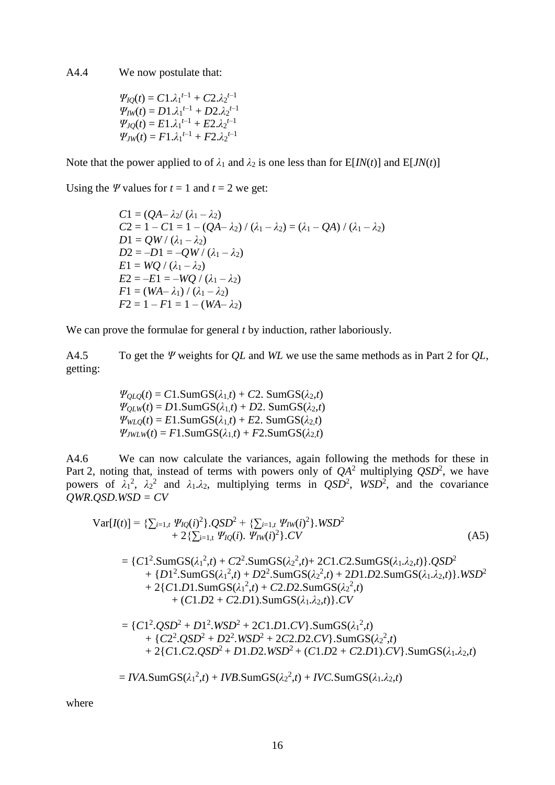A4.4 We now postulate that:

$$
\Psi_{IQ}(t) = C1.\lambda_1^{t-1} + C2.\lambda_2^{t-1}
$$
  
\n
$$
\Psi_{IW}(t) = D1.\lambda_1^{t-1} + D2.\lambda_2^{t-1}
$$
  
\n
$$
\Psi_{IQ}(t) = E1.\lambda_1^{t-1} + E2.\lambda_2^{t-1}
$$
  
\n
$$
\Psi_{JW}(t) = F1.\lambda_1^{t-1} + F2.\lambda_2^{t-1}
$$

Note that the power applied to of  $\lambda_1$  and  $\lambda_2$  is one less than for  $E[N(t)]$  and  $E[JN(t)]$ 

Using the  $\Psi$  values for  $t = 1$  and  $t = 2$  we get:

*C*1 = (*QA*–  $\lambda_2$ / ( $\lambda_1$  –  $\lambda_2$ )  $C2 = 1 - C1 = 1 - (QA - \lambda_2) / (\lambda_1 - \lambda_2) = (\lambda_1 - QA) / (\lambda_1 - \lambda_2)$  $D1 = QW/(\lambda_1 - \lambda_2)$  $D2 = -D1 = -QW/(\lambda_1 - \lambda_2)$  $E1 = WQ / (\lambda_1 - \lambda_2)$  $E2 = -E1 = -WQ / (\lambda_1 - \lambda_2)$  $F1 = (WA - \lambda_1) / (\lambda_1 - \lambda_2)$  $F2 = 1 - F1 = 1 - (WA - \lambda_2)$ 

We can prove the formulae for general *t* by induction, rather laboriously.

A4.5 To get the *Ψ* weights for *QL* and *WL* we use the same methods as in Part 2 for *QL*, getting:

> $\Psi_{OLO}(t) = C1$ .SumGS( $\lambda_1$ *,t*) + *C*2. SumGS( $\lambda_2$ *,t*)  $\Psi_{OLW}(t) = D1$ .SumGS( $\lambda_1$ *,t*) + *D*2. SumGS( $\lambda_2$ ,*t*)  $\Psi_{WLO}(t) = E1$ .SumGS( $\lambda_1$ ,*t*) + *E*2. SumGS( $\lambda_2$ ,*t*)  $\Psi_{JWLW}(t) = F1$ .SumGS( $\lambda_1$ *,t*) +  $F2$ .SumGS( $\lambda_2$ *t*)

A4.6 We can now calculate the variances, again following the methods for these in Part 2, noting that, instead of terms with powers only of  $QA^2$  multiplying  $QSD^2$ , we have powers of  $\lambda_1^2$ ,  $\lambda_2^2$  and  $\lambda_1 \lambda_2$ , multiplying terms in *QSD*<sup>2</sup>, *WSD*<sup>2</sup>, and the covariance  $QWR$ *.* $OSD$ *.* $WSD = CV$ 

$$
Var[I(t)] = \{ \sum_{i=1,t} \Psi_{IQ}(i)^2 \} QSD^2 + \{ \sum_{i=1,t} \Psi_{IW}(i)^2 \} WSD^2 + 2 \{ \sum_{i=1,t} \Psi_{IQ}(i) \} W_{IW}(i)^2 \} CV \tag{A5}
$$

 $= \{C1^2$ .SumGS( $\lambda_1^2$ ,*t*) +  $C2^2$ .SumGS( $\lambda_2^2$ ,*t*)+ 2*C*1.*C*2.SumGS( $\lambda_1$ , $\lambda_2$ ,*t*) $\}$ .*QSD*<sup>2</sup> + {*D*1 2 .SumGS(*λ*<sup>1</sup> 2 ,*t*) + *D*2 2 .SumGS(*λ*<sup>2</sup> 2 ,*t*) + 2*D*1.*D*2.SumGS(*λ*1*.λ*2,*t*)}.*WSD*<sup>2</sup> + 2{*C*1*.D*1.SumGS( $\lambda_1^2$ ,*t*) + *C*2*.D*2.SumGS( $\lambda_2^2$ ,*t*)  $+$  (*C*1*.D*2 + *C*2*.D*1).SumGS( $\lambda_1$ , $\lambda_2$ ,*t*)}.*CV* 

$$
= \{C1^2.QSD^2 + D1^2.WSD^2 + 2C1.D1.CV\}.\text{SumGS}(\lambda_1^2,t) \\ + \{C2^2.QSD^2 + D2^2.WSD^2 + 2C2.D2.CV\}.\text{SumGS}(\lambda_2^2,t) \\ + 2\{C1.C2.QSD^2 + D1.D2.WSD^2 + (C1.D2 + C2.D1).CV\}.\text{SumGS}(\lambda_1.\lambda_2,t)
$$

 $= IVA$ .SumGS( $\lambda_1^2$ ,*t*) + *IVB*.SumGS( $\lambda_2^2$ ,*t*) + *IVC*.SumGS( $\lambda_1$ , $\lambda_2$ ,*t*)

where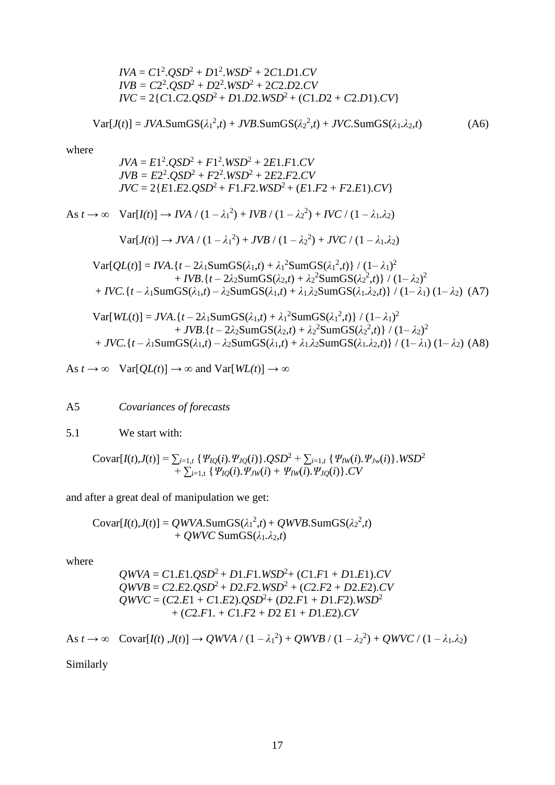$$
IVA = C12. QSD2 + D12. WSD2 + 2C1.D1.CV
$$
  
\n
$$
IVB = C22. QSD2 + D22. WSD2 + 2C2.D2.CV
$$
  
\n
$$
IVC = 2\{C1.C2.QSD2 + D1.D2.WSD2 + (C1.D2 + C2.D1).CV\}
$$

$$
Var[J(t)] = JVA.SumGS(\lambda_1^2, t) + JVB.SumGS(\lambda_2^2, t) + JVC.SumGS(\lambda_1, \lambda_2, t)
$$
 (A6)

where

$$
JVA = E12 \cdot QSD2 + F12 \cdot WSD2 + 2E1.F1.CV
$$
  
\n
$$
JVB = E22 \cdot QSD2 + F22 \cdot WSD2 + 2E2.F2.CV
$$
  
\n
$$
JVC = 2\{E1.E2.OSD2 + F1.F2.WSD2 + (E1.F2 + F2.E1).CV\}
$$

As 
$$
t \to \infty
$$
 Var[ $I(t)$ ]  $\to IVA / (1 - \lambda_1^2) + IVB / (1 - \lambda_2^2) + IVC / (1 - \lambda_1.\lambda_2)$   
\n $Var[J(t)] \to JVA / (1 - \lambda_1^2) + JVB / (1 - \lambda_2^2) + JVC / (1 - \lambda_1.\lambda_2)$   
\n $Var[QL(t)] = IVA. \{t - 2\lambda_1SumGS(\lambda_1, t) + \lambda_1^2SumGS(\lambda_1^2, t)\} / (1 - \lambda_1)^2$   
\n $+ IVB. \{t - 2\lambda_2SumGS(\lambda_2, t) + \lambda_2^2SumGS(\lambda_2^2, t)\} / (1 - \lambda_2)^2$   
\n $+ IVC. \{t - \lambda_1SumGS(\lambda_1, t) - \lambda_2SumGS(\lambda_1, t) + \lambda_1.\lambda_2SumGS(\lambda_1.\lambda_2, t)\} / (1 - \lambda_1) (1 - \lambda_2) (A7)$   
\n $Var[WL(t)] = JVA. \{t - 2\lambda_1SumGS(\lambda_1, t) + \lambda_1^2SumGS(\lambda_1^2, t)\} / (1 - \lambda_1)^2$   
\n $+ JVB. \{t - 2\lambda_2SumGS(\lambda_2, t) + \lambda_2^2SumGS(\lambda_2^2, t)\} / (1 - \lambda_2)^2$ 

+ *JVC.*{*t* – *λ*1SumGS(*λ*1,*t*) – *λ*2SumGS(*λ*1,*t*) + *λ*1.*λ*2SumGS(*λ*1*.λ*2,*t*)} / (1– *λ*1) (1– *λ*2) (A8)

As 
$$
t \to \infty
$$
  $Var[QL(t)] \to \infty$  and  $Var[WL(t)] \to \infty$ 

A5 *Covariances of forecasts*

5.1 We start with:

$$
\text{Covar}[I(t),J(t)] = \sum_{i=1,t} \{ \Psi_{IQ}(i), \Psi_{IQ}(i) \} . QSD^2 + \sum_{i=1,t} \{ \Psi_{IW}(i), \Psi_{Jw}(i) \} . WSD^2 + \sum_{i=1,t} \{ \Psi_{IQ}(i), \Psi_{Jw}(i) + \Psi_{IW}(i), \Psi_{JQ}(i) \} . CV
$$

and after a great deal of manipulation we get:

$$
Covar[I(t),J(t)] = QWVA.SumGS(\lambda_1^2,t) + QWVB.SumGS(\lambda_2^2,t)
$$
  
+ QWVC SumGS(\lambda\_1,\lambda\_2,t)

where

$$
QWVA = C1.E1.QSD2 + D1.F1.WSD2 + (C1.F1 + D1.E1).CV
$$
  
\n
$$
QWVB = C2.E2.QSD2 + D2.F2.WSD2 + (C2.F2 + D2.E2).CV
$$
  
\n
$$
QWVC = (C2.E1 + C1.E2).QSD2 + (D2.F1 + D1.F2).WSD2
$$
  
\n+ (C2.F1. + C1.F2 + D2 E1 + D1.E2).CV

As 
$$
t \to \infty
$$
 Covar $[I(t), J(t)] \to QWVA / (1 - \lambda_1^2) + QWVB / (1 - \lambda_2^2) + QWVC / (1 - \lambda_1 \lambda_2)$ 

Similarly